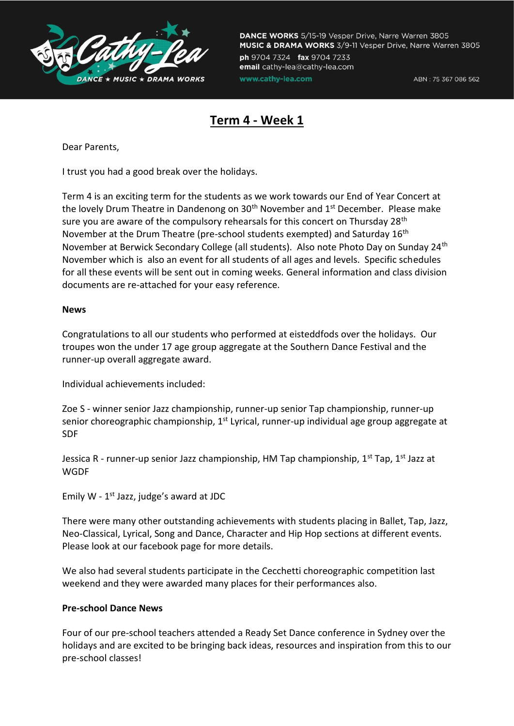

DANCE WORKS 5/15-19 Vesper Drive, Narre Warren 3805 MUSIC & DRAMA WORKS 3/9-11 Vesper Drive, Narre Warren 3805 ph 9704 7324 fax 9704 7233 email cathy-lea@cathy-lea.com

www.cathy-lea.com

ABN: 75 367 086 562

# **Term 4 - Week 1**

Dear Parents,

I trust you had a good break over the holidays.

Term 4 is an exciting term for the students as we work towards our End of Year Concert at the lovely Drum Theatre in Dandenong on  $30<sup>th</sup>$  November and  $1<sup>st</sup>$  December. Please make sure you are aware of the compulsory rehearsals for this concert on Thursday 28<sup>th</sup> November at the Drum Theatre (pre-school students exempted) and Saturday 16<sup>th</sup> November at Berwick Secondary College (all students). Also note Photo Day on Sunday 24th November which is also an event for all students of all ages and levels. Specific schedules for all these events will be sent out in coming weeks. General information and class division documents are re-attached for your easy reference.

## **News**

Congratulations to all our students who performed at eisteddfods over the holidays. Our troupes won the under 17 age group aggregate at the Southern Dance Festival and the runner-up overall aggregate award.

Individual achievements included:

Zoe S - winner senior Jazz championship, runner-up senior Tap championship, runner-up senior choreographic championship, 1<sup>st</sup> Lyrical, runner-up individual age group aggregate at SDF

Jessica R - runner-up senior Jazz championship, HM Tap championship, 1<sup>st</sup> Tap, 1<sup>st</sup> Jazz at **WGDF** 

Emily W - 1<sup>st</sup> Jazz, judge's award at JDC

There were many other outstanding achievements with students placing in Ballet, Tap, Jazz, Neo-Classical, Lyrical, Song and Dance, Character and Hip Hop sections at different events. Please look at our facebook page for more details.

We also had several students participate in the Cecchetti choreographic competition last weekend and they were awarded many places for their performances also.

## **Pre-school Dance News**

Four of our pre-school teachers attended a Ready Set Dance conference in Sydney over the holidays and are excited to be bringing back ideas, resources and inspiration from this to our pre-school classes!